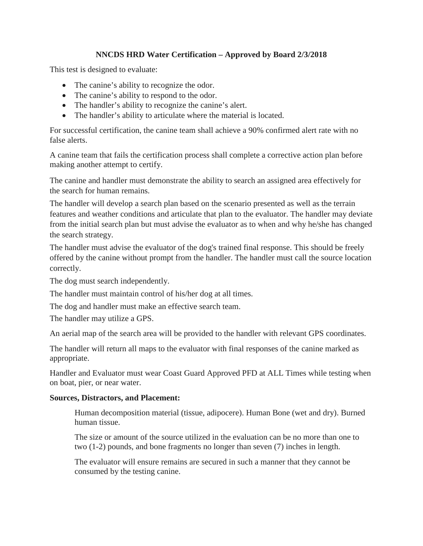# **NNCDS HRD Water Certification – Approved by Board 2/3/2018**

This test is designed to evaluate:

- The canine's ability to recognize the odor.
- The canine's ability to respond to the odor.
- The handler's ability to recognize the canine's alert.
- The handler's ability to articulate where the material is located.

For successful certification, the canine team shall achieve a 90% confirmed alert rate with no false alerts.

A canine team that fails the certification process shall complete a corrective action plan before making another attempt to certify.

The canine and handler must demonstrate the ability to search an assigned area effectively for the search for human remains.

The handler will develop a search plan based on the scenario presented as well as the terrain features and weather conditions and articulate that plan to the evaluator. The handler may deviate from the initial search plan but must advise the evaluator as to when and why he/she has changed the search strategy.

The handler must advise the evaluator of the dog's trained final response. This should be freely offered by the canine without prompt from the handler. The handler must call the source location correctly.

The dog must search independently.

The handler must maintain control of his/her dog at all times.

The dog and handler must make an effective search team.

The handler may utilize a GPS.

An aerial map of the search area will be provided to the handler with relevant GPS coordinates.

The handler will return all maps to the evaluator with final responses of the canine marked as appropriate.

Handler and Evaluator must wear Coast Guard Approved PFD at ALL Times while testing when on boat, pier, or near water.

# **Sources, Distractors, and Placement:**

Human decomposition material (tissue, adipocere). Human Bone (wet and dry). Burned human tissue.

The size or amount of the source utilized in the evaluation can be no more than one to two (1-2) pounds, and bone fragments no longer than seven (7) inches in length.

The evaluator will ensure remains are secured in such a manner that they cannot be consumed by the testing canine.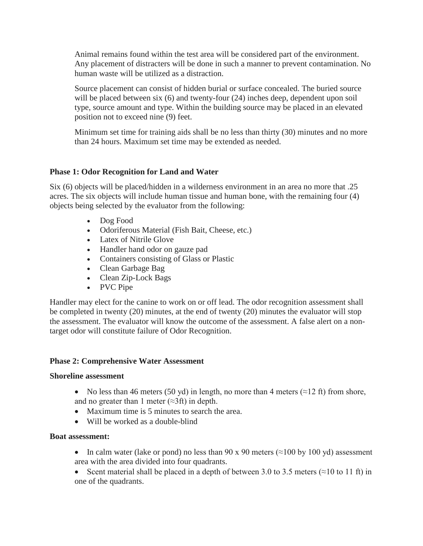Animal remains found within the test area will be considered part of the environment. Any placement of distracters will be done in such a manner to prevent contamination. No human waste will be utilized as a distraction.

Source placement can consist of hidden burial or surface concealed. The buried source will be placed between six (6) and twenty-four (24) inches deep, dependent upon soil type, source amount and type. Within the building source may be placed in an elevated position not to exceed nine (9) feet.

Minimum set time for training aids shall be no less than thirty (30) minutes and no more than 24 hours. Maximum set time may be extended as needed.

# **Phase 1: Odor Recognition for Land and Water**

Six (6) objects will be placed/hidden in a wilderness environment in an area no more that .25 acres. The six objects will include human tissue and human bone, with the remaining four (4) objects being selected by the evaluator from the following:

- Dog Food
- Odoriferous Material (Fish Bait, Cheese, etc.)
- Latex of Nitrile Glove
- Handler hand odor on gauze pad
- Containers consisting of Glass or Plastic
- Clean Garbage Bag
- Clean Zip-Lock Bags
- PVC Pipe

Handler may elect for the canine to work on or off lead. The odor recognition assessment shall be completed in twenty (20) minutes, at the end of twenty (20) minutes the evaluator will stop the assessment. The evaluator will know the outcome of the assessment. A false alert on a nontarget odor will constitute failure of Odor Recognition.

### **Phase 2: Comprehensive Water Assessment**

### **Shoreline assessment**

- No less than 46 meters (50 yd) in length, no more than 4 meters ( $\approx$ 12 ft) from shore, and no greater than 1 meter  $(\approx 3 \text{ ft})$  in depth.
- Maximum time is 5 minutes to search the area.
- Will be worked as a double-blind

### **Boat assessment:**

- In calm water (lake or pond) no less than 90 x 90 meters ( $\approx$ 100 by 100 yd) assessment area with the area divided into four quadrants.
- Scent material shall be placed in a depth of between 3.0 to 3.5 meters ( $\approx$ 10 to 11 ft) in one of the quadrants.